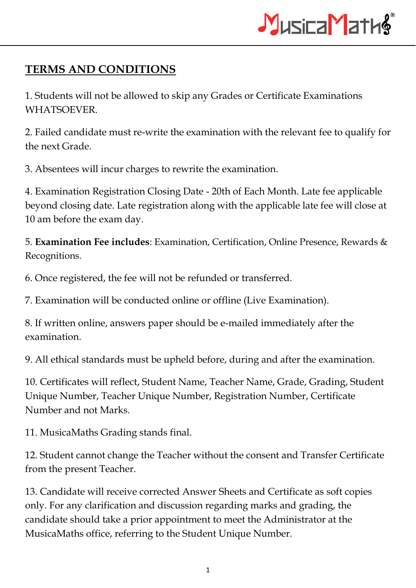

## **TERMS AND CONDITIONS**

1. Students will not be allowed to skip any Grades or Certificate Examinations WHATSOEVER.

2. Failed candidate must re-write the examination with the relevant fee to qualify for the next Grade.

3. Absentees will incur charges to rewrite the examination.

4. Examination Registration Closing Date - 20th of Each Month. Late fee applicable beyond closing date. Late registration along with the applicable late fee will close at 10 am before the exam day.

5. **Examination Fee includes**: Examination, Certification, Online Presence, Rewards & Recognitions.

6. Once registered, the fee will not be refunded or transferred.

7. Examination will be conducted online or offline (Live Examination).

8. If written online, answers paper should be e-mailed immediately after the examination.

9. All ethical standards must be upheld before, during and after the examination.

10. Certificates will reflect, Student Name, Teacher Name, Grade, Grading, Student Unique Number, Teacher Unique Number, Registration Number, Certificate Number and not Marks.

11. MusicaMaths Grading stands final.

12. Student cannot change the Teacher without the consent and Transfer Certificate from the present Teacher.

13. Candidate will receive corrected Answer Sheets and Certificate as soft copies only. For any clarification and discussion regarding marks and grading, the candidate should take a prior appointment to meet the Administrator at the MusicaMaths office, referring to the Student Unique Number.